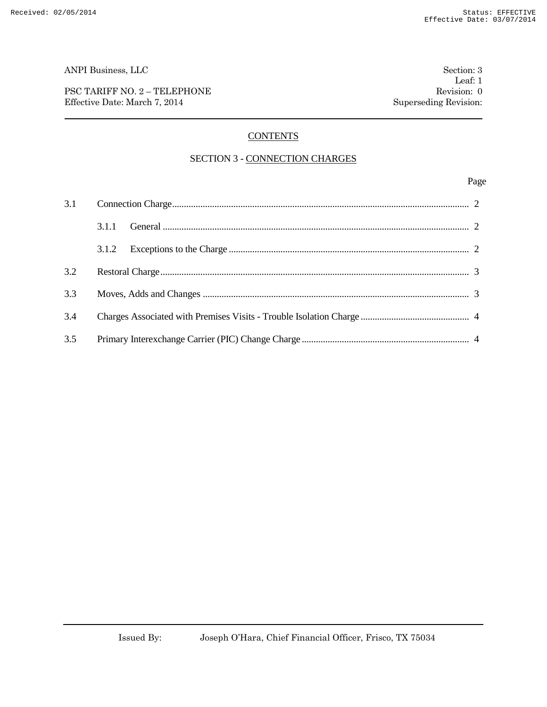PSC TARIFF NO. 2 – TELEPHONE Revision: 0 Effective Date: March 7, 2014 Superseding Revision:

# **CONTENTS**

### SECTION 3 - CONNECTION CHARGES

### Page

| 3.1 |       |  |
|-----|-------|--|
|     | 3.1.1 |  |
|     | 3.1.2 |  |
| 3.2 |       |  |
| 3.3 |       |  |
| 3.4 |       |  |
| 3.5 |       |  |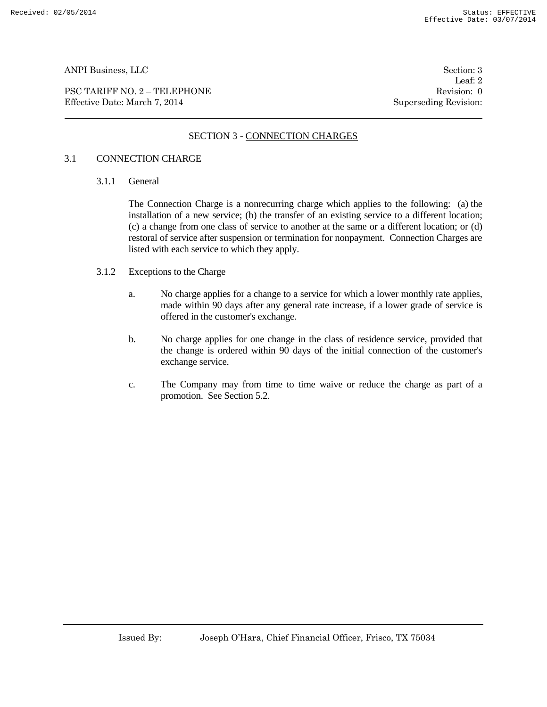PSC TARIFF NO. 2 – TELEPHONE Revision: 0 Effective Date: March 7, 2014 Superseding Revision:

Leaf: 2

## SECTION 3 - CONNECTION CHARGES

### 3.1 CONNECTION CHARGE

3.1.1 General

The Connection Charge is a nonrecurring charge which applies to the following: (a) the installation of a new service; (b) the transfer of an existing service to a different location; (c) a change from one class of service to another at the same or a different location; or (d) restoral of service after suspension or termination for nonpayment. Connection Charges are listed with each service to which they apply.

- 3.1.2 Exceptions to the Charge
	- a. No charge applies for a change to a service for which a lower monthly rate applies, made within 90 days after any general rate increase, if a lower grade of service is offered in the customer's exchange.
	- b. No charge applies for one change in the class of residence service, provided that the change is ordered within 90 days of the initial connection of the customer's exchange service.
	- c. The Company may from time to time waive or reduce the charge as part of a promotion. See Section 5.2.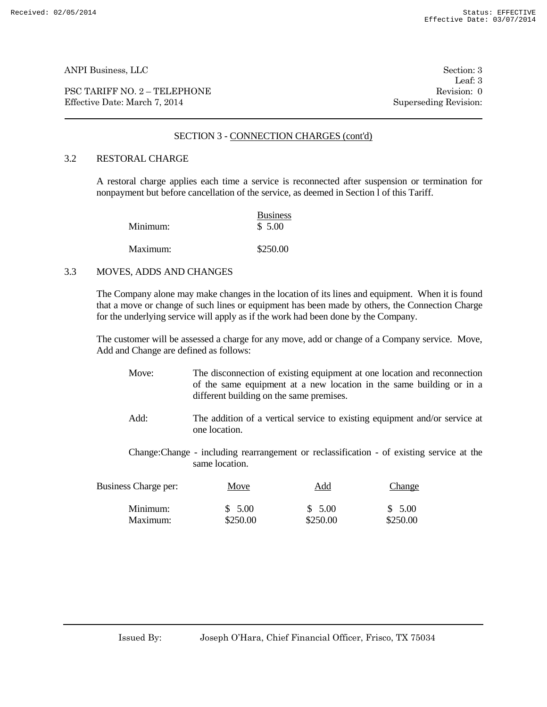PSC TARIFF NO. 2 – TELEPHONE Revision: 0 Effective Date: March 7, 2014 Superseding Revision:

Leaf: 3

### SECTION 3 - CONNECTION CHARGES (cont'd)

### 3.2 RESTORAL CHARGE

A restoral charge applies each time a service is reconnected after suspension or termination for nonpayment but before cancellation of the service, as deemed in Section l of this Tariff.

| Minimum: | <b>Business</b><br>\$ 5.00 |
|----------|----------------------------|
| Maximum: | \$250.00                   |

#### 3.3 MOVES, ADDS AND CHANGES

The Company alone may make changes in the location of its lines and equipment. When it is found that a move or change of such lines or equipment has been made by others, the Connection Charge for the underlying service will apply as if the work had been done by the Company.

The customer will be assessed a charge for any move, add or change of a Company service. Move, Add and Change are defined as follows:

- Move: The disconnection of existing equipment at one location and reconnection of the same equipment at a new location in the same building or in a different building on the same premises.
- Add: The addition of a vertical service to existing equipment and/or service at one location.
- Change:Change including rearrangement or reclassification of existing service at the same location.

| Business Charge per: | Move     | Add      | Change   |
|----------------------|----------|----------|----------|
| Minimum:             | \$5.00   | \$5.00   | \$5.00   |
| Maximum:             | \$250.00 | \$250.00 | \$250.00 |